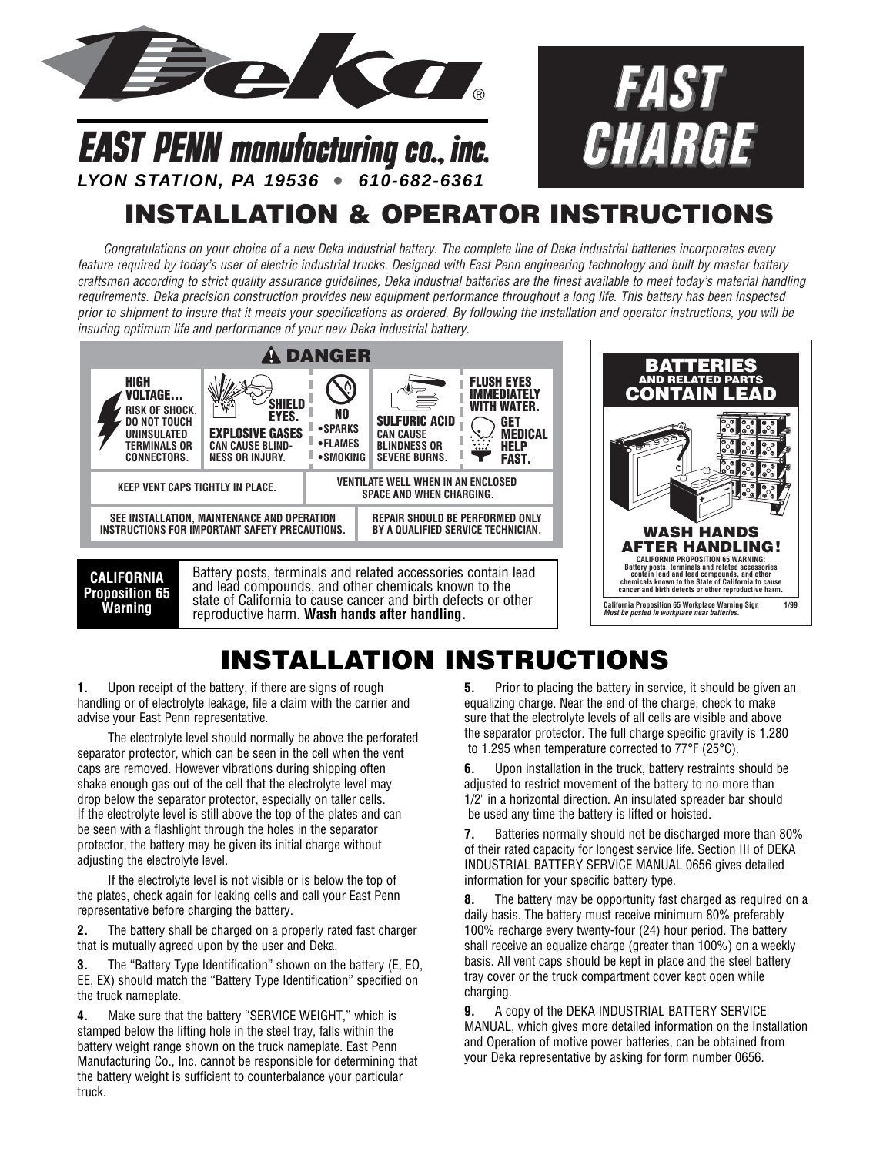



## **LYON STATION, PA 19536 • 610-682-6361**

**EAST PENN manufacturing co., inc.** 

## **INSTALLATION & OPERATOR INSTRUCTIONS**

*Congratulations on your choice of a new Deka industrial battery. The complete line of Deka industrial batteries incorporates every feature required by today's user of electric industrial trucks. Designed with East Penn engineering technology and built by master battery craftsmen according to strict quality assurance guidelines, Deka industrial batteries are the finest available to meet today's material handling requirements. Deka precision construction provides new equipment performance throughout a long life. This battery has been inspected prior to shipment to insure that it meets your specifications as ordered. By following the installation and operator instructions, you will be insuring optimum life and performance of your new Deka industrial battery.*



## **INSTALLATION INSTRUCTIONS**

**1.** Upon receipt of the battery, if there are signs of rough handling or of electrolyte leakage, file a claim with the carrier and advise your East Penn representative.

The electrolyte level should normally be above the perforated separator protector, which can be seen in the cell when the vent caps are removed. However vibrations during shipping often shake enough gas out of the cell that the electrolyte level may drop below the separator protector, especially on taller cells. If the electrolyte level is still above the top of the plates and can be seen with a flashlight through the holes in the separator protector, the battery may be given its initial charge without adjusting the electrolyte level.

If the electrolyte level is not visible or is below the top of the plates, check again for leaking cells and call your East Penn representative before charging the battery.

**2.** The battery shall be charged on a properly rated fast charger that is mutually agreed upon by the user and Deka.

**3.** The "Battery Type Identification" shown on the battery (E, EO, EE, EX) should match the "Battery Type Identification" specified on the truck nameplate.

**4.** Make sure that the battery "SERVICE WEIGHT," which is stamped below the lifting hole in the steel tray, falls within the battery weight range shown on the truck nameplate. East Penn Manufacturing Co., Inc. cannot be responsible for determining that the battery weight is sufficient to counterbalance your particular truck.

**5.** Prior to placing the battery in service, it should be given an equalizing charge. Near the end of the charge, check to make sure that the electrolyte levels of all cells are visible and above the separator protector. The full charge specific gravity is 1.280 to 1.295 when temperature corrected to 77°F (25°C).

**6.** Upon installation in the truck, battery restraints should be adjusted to restrict movement of the battery to no more than 1/2" in a horizontal direction. An insulated spreader bar should be used any time the battery is lifted or hoisted.

**7.** Batteries normally should not be discharged more than 80% of their rated capacity for longest service life. Section III of DEKA INDUSTRIAL BATTERY SERVICE MANUAL 0656 gives detailed information for your specific battery type.

**8.** The battery may be opportunity fast charged as required on a daily basis. The battery must receive minimum 80% preferably 100% recharge every twenty-four (24) hour period. The battery shall receive an equalize charge (greater than 100%) on a weekly basis. All vent caps should be kept in place and the steel battery tray cover or the truck compartment cover kept open while charging.

**9.** A copy of the DEKA INDUSTRIAL BATTERY SERVICE MANUAL, which gives more detailed information on the Installation and Operation of motive power batteries, can be obtained from your Deka representative by asking for form number 0656.